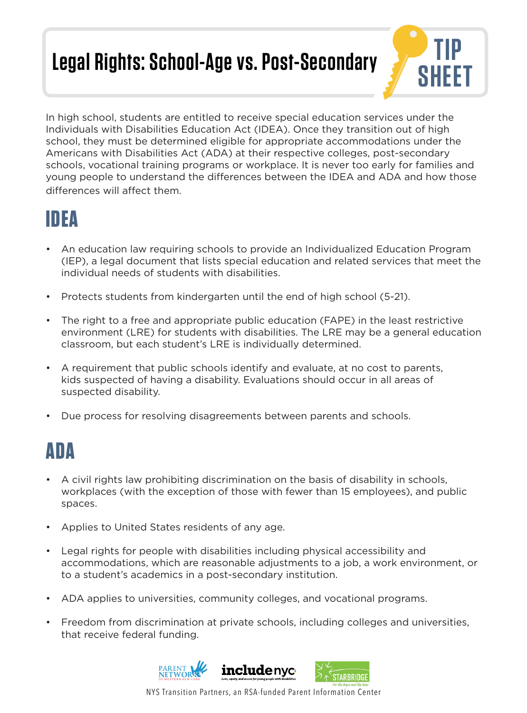# **Legal Rights: School-Age vs. Post-Secondary**



In high school, students are entitled to receive special education services under the Individuals with Disabilities Education Act (IDEA). Once they transition out of high school, they must be determined eligible for appropriate accommodations under the Americans with Disabilities Act (ADA) at their respective colleges, post-secondary schools, vocational training programs or workplace. It is never too early for families and young people to understand the differences between the IDEA and ADA and how those differences will affect them.

### **IDEA**

- An education law requiring schools to provide an Individualized Education Program (IEP), a legal document that lists special education and related services that meet the individual needs of students with disabilities.
- Protects students from kindergarten until the end of high school (5-21).
- The right to a free and appropriate public education (FAPE) in the least restrictive environment (LRE) for students with disabilities. The LRE may be a general education classroom, but each student's LRE is individually determined.
- A requirement that public schools identify and evaluate, at no cost to parents, kids suspected of having a disability. Evaluations should occur in all areas of suspected disability.
- Due process for resolving disagreements between parents and schools.

#### **ADA**

- A civil rights law prohibiting discrimination on the basis of disability in schools, workplaces (with the exception of those with fewer than 15 employees), and public spaces.
- Applies to United States residents of any age.
- Legal rights for people with disabilities including physical accessibility and accommodations, which are reasonable adjustments to a job, a work environment, or to a student's academics in a post-secondary institution.
- ADA applies to universities, community colleges, and vocational programs.
- Freedom from discrimination at private schools, including colleges and universities, that receive federal funding.